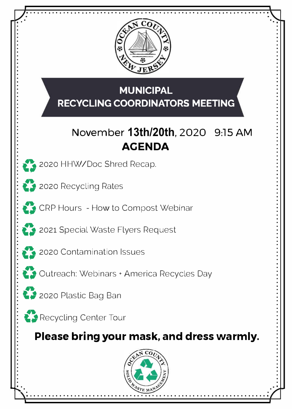$\tilde{\phantom{a}}$ • • • • • • • • • • • • • • • • • • • • • • • • • • • • • • • • • • • •

**2020 HHW/Doc Shred Recap.** 



 $\sum$  2020 Recycling Rates



: **CRP Hours - How to Compost Webinar** 



**2.2** 2021 Special Waste Flyers Request



• • •<br>•

## **MUNICIPAL RECYCLING COORDINATORS MEETING**

# **November 13th/20th, 2020 9:15 AM AGENDA**

.,

•

• •

• • •



•



*!* **(i** Outreach: Webinars <sup>+</sup> America Recycles Day



•



*!* **(i** Recycling Center Tour

• • • • • • • • • • • • • • • •

--,,..

• • .

## **Please bring your mask, and dress warmly.**



• • • • • • • • • • • • • • • • • • • • • • • • • • • • • • • • • • • • • • • • • • • • • • • • • • • • • • • • • • • • • • • • • • • • • • • • • • • • • • • • • • • • • • • • • • • • • • • • • • • • •

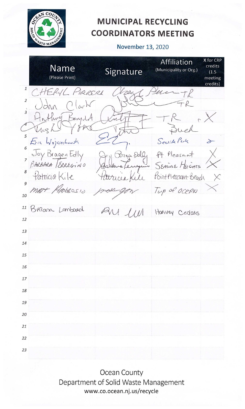

### **MUNICIPAL RECYCLING COORDINATORS MEETING**

### November 13, 2020

X for CRP **Affiliation** credits **Name** Signature (Municipality or Org.)  $(1.5)$ (Please Print) meeting credits)  $\mathbf{1}$ Der  $Hf$ PIRRERA  $\overline{c}$  $\overrightarrow{3}$ Enjula J  $\ell$ 5 Seaside Park Erre Wojciechowsk S 6 Pt. Pleasant BragenEdly Brage Solly  $\overline{7}$ BARBARA /ERREGINO SEASINE HEIGHTS 8 Patricia Kile Point Pleasant Beach  $t \rightarrow 0$ 9 mbrosio Tup of OCEAN 21.AT 10 Brian Lanbard 11  $1111$ Harvey Cedars 12 13 14 15 16 17 18 19 20 21 22 23

Ocean County Department of Solid Waste Management www.co.ocean.nj.us/recycle